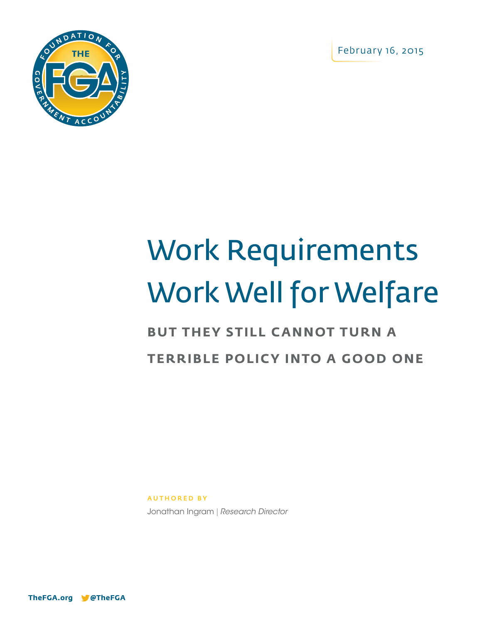February 16, 2015



# Work Requirements Work Well for Welfare

## **BUT THEY STILL CANNOT TURN A TERRIBLE POLICY INTO A GOOD ONE**

AUTHORED BY

Jonathan Ingram | *Research Director*

**TheFGA.org @TheFGA**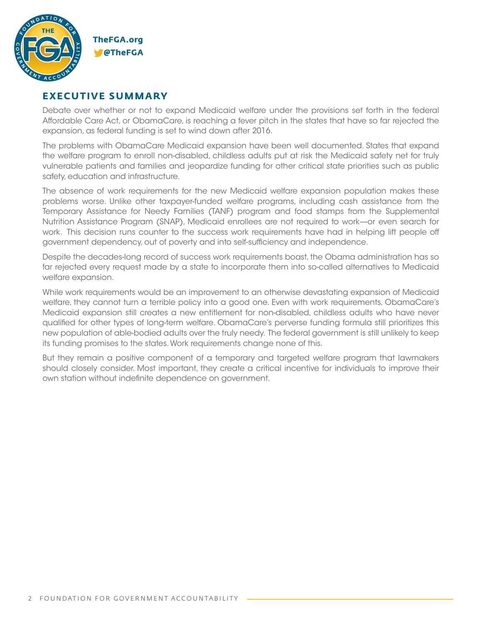

#### **EXECUTIVE SUMMARY**

Debate over whether or not to expand Medicaid welfare under the provisions set forth in the federal Affordable Care Act, or ObamaCare, is reaching a fever pitch in the states that have so far rejected the expansion, as federal funding is set to wind down after 2016.

The problems with ObamaCare Medicaid expansion have been well documented. States that expand the welfare program to enroll non-disabled, childless adults put at risk the Medicaid safety net for truly vulnerable patients and families and jeopardize funding for other critical state priorities such as public safety, education and infrastructure.

The absence of work requirements for the new Medicaid welfare expansion population makes these problems worse. Unlike other taxpayer-funded welfare programs, including cash assistance from the Temporary Assistance for Needy Families (TANF) program and food stamps from the Supplemental Nutrition Assistance Program (SNAP), Medicaid enrollees are not required to work—or even search for work. This decision runs counter to the success work requirements have had in helping lift people off government dependency, out of poverty and into self-sufficiency and independence.

Despite the decades-long record of success work requirements boast, the Obama administration has so far rejected every request made by a state to incorporate them into so-called alternatives to Medicaid welfare expansion.

While work requirements would be an improvement to an otherwise devastating expansion of Medicaid welfare, they cannot turn a terrible policy into a good one. Even with work requirements, ObamaCare's Medicaid expansion still creates a new entitlement for non-disabled, childless adults who have never qualified for other types of long-term welfare. ObamaCare's perverse funding formula still prioritizes this new population of able-bodied adults over the truly needy. The federal government is still unlikely to keep its funding promises to the states. Work requirements change none of this.

But they remain a positive component of a temporary and targeted welfare program that lawmakers should closely consider. Most important, they create a critical incentive for individuals to improve their own station without indefinite dependence on government.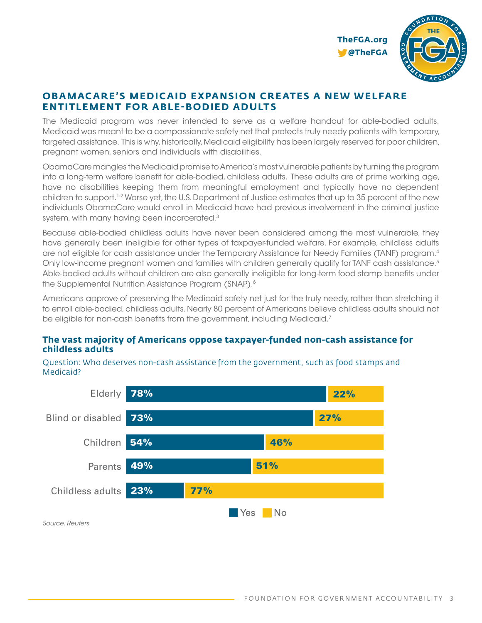

#### **OBAMACARE'S MEDICAID EXPANSION CREATES A NEW WELFARE ENTITLEMENT FOR ABLE-BODIED ADULTS**

The Medicaid program was never intended to serve as a welfare handout for able-bodied adults. Medicaid was meant to be a compassionate safety net that protects truly needy patients with temporary, targeted assistance. This is why, historically, Medicaid eligibility has been largely reserved for poor children, pregnant women, seniors and individuals with disabilities.

ObamaCare mangles the Medicaid promise to America's most vulnerable patients by turning the program into a long-term welfare benefit for able-bodied, childless adults. These adults are of prime working age, have no disabilities keeping them from meaningful employment and typically have no dependent children to support.1-2 Worse yet, the U.S. Department of Justice estimates that up to 35 percent of the new individuals ObamaCare would enroll in Medicaid have had previous involvement in the criminal justice system, with many having been incarcerated.3

Because able-bodied childless adults have never been considered among the most vulnerable, they have generally been ineligible for other types of taxpayer-funded welfare. For example, childless adults are not eligible for cash assistance under the Temporary Assistance for Needy Families (TANF) program.4 Only low-income pregnant women and families with children generally qualify for TANF cash assistance.<sup>5</sup> Able-bodied adults without children are also generally ineligible for long-term food stamp benefits under the Supplemental Nutrition Assistance Program (SNAP).<sup>6</sup>

Americans approve of preserving the Medicaid safety net just for the truly needy, rather than stretching it to enroll able-bodied, childless adults. Nearly 80 percent of Americans believe childless adults should not be eligible for non-cash benefits from the government, including Medicaid.<sup>7</sup>

#### **The vast majority of Americans oppose taxpayer-funded non-cash assistance for childless adults**



Question: Who deserves non-cash assistance from the government, such as food stamps and Medicaid?

*Source: Reuters*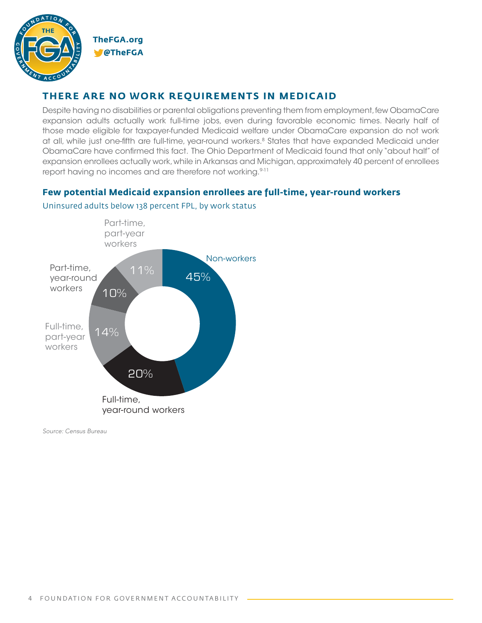

#### **THERE ARE NO WORK REQUIREMENTS IN MEDICAID**

Despite having no disabilities or parental obligations preventing them from employment, few ObamaCare expansion adults actually work full-time jobs, even during favorable economic times. Nearly half of those made eligible for taxpayer-funded Medicaid welfare under ObamaCare expansion do not work at all, while just one-fifth are full-time, year-round workers.<sup>8</sup> States that have expanded Medicaid under ObamaCare have confirmed this fact. The Ohio Department of Medicaid found that only "about half" of expansion enrollees actually work, while in Arkansas and Michigan, approximately 40 percent of enrollees report having no incomes and are therefore not working.<sup>9-11</sup>

#### **Few potential Medicaid expansion enrollees are full-time, year-round workers**



Uninsured adults below 138 percent FPL, by work status

*Source: Census Bureau*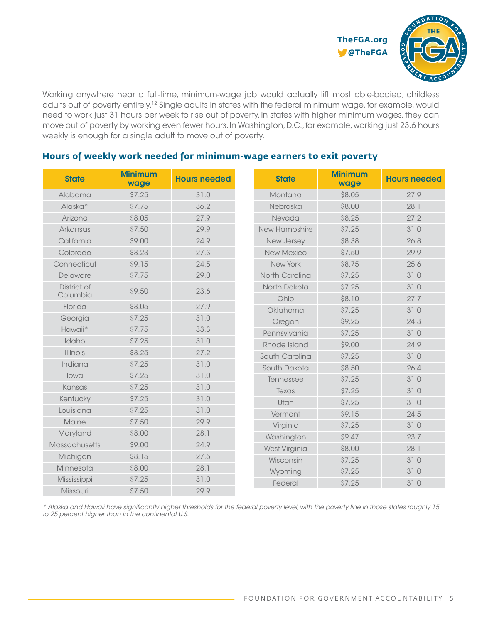

Working anywhere near a full-time, minimum-wage job would actually lift most able-bodied, childless adults out of poverty entirely.12 Single adults in states with the federal minimum wage, for example, would need to work just 31 hours per week to rise out of poverty. In states with higher minimum wages, they can move out of poverty by working even fewer hours. In Washington, D.C., for example, working just 23.6 hours weekly is enough for a single adult to move out of poverty.

| <b>State</b>    | <b>Minimum</b><br>wage | <b>Hours needed</b> |                   | <b>State</b>         | <b>Minimum</b><br>wage | <b>Hours needed</b> |
|-----------------|------------------------|---------------------|-------------------|----------------------|------------------------|---------------------|
| Alabama         | \$7.25                 | 31.0                | Montana           |                      | \$8.05                 | 27.9                |
| Alaska*         | \$7.75                 | 36.2                |                   | Nebraska             | \$8.00                 | 28.1                |
| Arizona         | \$8.05                 | 27.9                |                   | Nevada               | \$8.25                 | 27.2                |
| Arkansas        | \$7.50                 | 29.9                | New Hampshire     |                      | \$7.25                 | 31.0                |
| California      | \$9.00                 | 24.9                | New Jersey        |                      | \$8.38                 | 26.8                |
| Colorado        | \$8.23                 | 27.3                | <b>New Mexico</b> |                      | \$7.50                 | 29.9                |
| Connecticut     | \$9.15                 | 24.5                |                   | <b>New York</b>      | \$8.75                 | 25.6                |
| Delaware        | \$7.75                 | 29.0                |                   | North Carolina       | \$7.25                 | 31.0                |
| District of     | \$9.50                 | 23.6                |                   | North Dakota         | \$7.25                 | 31.0                |
| Columbia        |                        |                     |                   | Ohio                 | \$8.10                 | 27.7                |
| Florida         | \$8.05                 | 27.9                |                   | Oklahoma             | \$7.25                 | 31.0                |
| Georgia         | \$7.25                 | 31.0                |                   | Oregon               | \$9.25                 | 24.3                |
| Hawaii*         | \$7.75                 | 33.3                |                   | Pennsylvania         | \$7.25                 | 31.0                |
| Idaho           | \$7.25                 | 31.0                |                   | Rhode Island         | \$9.00                 | 24.9                |
| <b>Illinois</b> | \$8.25                 | 27.2                |                   | South Carolina       | \$7.25                 | 31.0                |
| Indiana         | \$7.25                 | 31.0                |                   | South Dakota         | \$8.50                 | 26.4                |
| lowa            | \$7.25                 | 31.0                |                   | Tennessee            | \$7.25                 | 31.0                |
| Kansas          | \$7.25                 | 31.0                |                   | Texas                | \$7.25                 | 31.0                |
| Kentucky        | \$7.25                 | 31.0                |                   | Utah                 | \$7.25                 | 31.0                |
| Louisiana       | \$7.25                 | 31.0                |                   | Vermont              | \$9.15                 | 24.5                |
| Maine           | \$7.50                 | 29.9                |                   | Virginia             | \$7.25                 | 31.0                |
| Maryland        | \$8.00                 | 28.1                |                   | Washington           | \$9.47                 | 23.7                |
| Massachusetts   | \$9.00                 | 24.9                |                   | <b>West Virginia</b> | \$8.00                 | 28.1                |
| Michigan        | \$8.15                 | 27.5                |                   | Wisconsin            | \$7.25                 | 31.0                |
| Minnesota       | \$8.00                 | 28.1                |                   | Wyoming              | \$7.25                 | 31.0                |
| Mississippi     | \$7.25                 | 31.0                |                   | Federal              | \$7.25                 | 31.0                |
| Missouri        | \$7.50                 | 29.9                |                   |                      |                        |                     |

#### **Hours of weekly work needed for minimum-wage earners to exit poverty**

*\* Alaska and Hawaii have significantly higher thresholds for the federal poverty level, with the poverty line in those states roughly 15 to 25 percent higher than in the continental U.S.*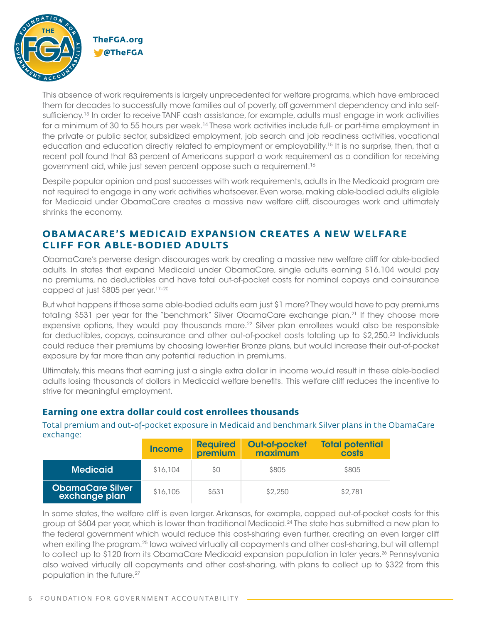

This absence of work requirements is largely unprecedented for welfare programs, which have embraced them for decades to successfully move families out of poverty, off government dependency and into selfsufficiency.<sup>13</sup> In order to receive TANF cash assistance, for example, adults must engage in work activities for a minimum of 30 to 55 hours per week.<sup>14</sup> These work activities include full- or part-time employment in the private or public sector, subsidized employment, job search and job readiness activities, vocational education and education directly related to employment or employability.<sup>15</sup> It is no surprise, then, that a recent poll found that 83 percent of Americans support a work requirement as a condition for receiving government aid, while just seven percent oppose such a requirement.16

Despite popular opinion and past successes with work requirements, adults in the Medicaid program are not required to engage in any work activities whatsoever. Even worse, making able-bodied adults eligible for Medicaid under ObamaCare creates a massive new welfare cliff, discourages work and ultimately shrinks the economy.

#### **OBAMACARE'S MEDICAID EXPANSION CREATES A NEW WELFARE CLIFF FOR ABLE-BODIED ADULTS**

ObamaCare's perverse design discourages work by creating a massive new welfare cliff for able-bodied adults. In states that expand Medicaid under ObamaCare, single adults earning \$16,104 would pay no premiums, no deductibles and have total out-of-pocket costs for nominal copays and coinsurance capped at just \$805 per year.<sup>17-20</sup>

But what happens if those same able-bodied adults earn just \$1 more? They would have to pay premiums totaling \$531 per year for the "benchmark" Silver ObamaCare exchange plan.<sup>21</sup> If they choose more expensive options, they would pay thousands more.<sup>22</sup> Silver plan enrollees would also be responsible for deductibles, copays, coinsurance and other out-of-pocket costs totaling up to \$2,250.23 Individuals could reduce their premiums by choosing lower-tier Bronze plans, but would increase their out-of-pocket exposure by far more than any potential reduction in premiums.

Ultimately, this means that earning just a single extra dollar in income would result in these able-bodied adults losing thousands of dollars in Medicaid welfare benefits. This welfare cliff reduces the incentive to strive for meaningful employment.

#### **Earning one extra dollar could cost enrollees thousands**

Total premium and out-of-pocket exposure in Medicaid and benchmark Silver plans in the ObamaCare exchange:

|                                          | <b>Income</b> | <b>Required</b><br>premium | <b>Out-of-pocket</b><br>maximum | <b>Total potential</b><br>costs |
|------------------------------------------|---------------|----------------------------|---------------------------------|---------------------------------|
| <b>Medicaid</b>                          | \$16,104      | SO.                        | \$805                           | \$805                           |
| <b>ObamaCare Silver</b><br>exchange plan | \$16,105      | \$531                      | \$2.250                         | \$2,781                         |

In some states, the welfare cliff is even larger. Arkansas, for example, capped out-of-pocket costs for this group at \$604 per year, which is lower than traditional Medicaid.24 The state has submitted a new plan to the federal government which would reduce this cost-sharing even further, creating an even larger cliff when exiting the program.<sup>25</sup> lowa waived virtually all copayments and other cost-sharing, but will attempt to collect up to \$120 from its ObamaCare Medicaid expansion population in later years.<sup>26</sup> Pennsylvania also waived virtually all copayments and other cost-sharing, with plans to collect up to \$322 from this population in the future.<sup>27</sup>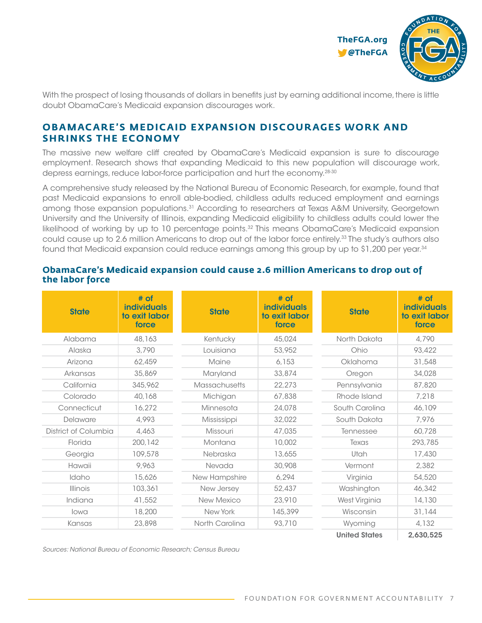

With the prospect of losing thousands of dollars in benefits just by earning additional income, there is little doubt ObamaCare's Medicaid expansion discourages work.

#### **OBAMACARE'S MEDICAID EXPANSION DISCOURAGES WORK AND SHRINKS THE ECONOMY**

The massive new welfare cliff created by ObamaCare's Medicaid expansion is sure to discourage employment. Research shows that expanding Medicaid to this new population will discourage work, depress earnings, reduce labor-force participation and hurt the economy.<sup>28-30</sup>

A comprehensive study released by the National Bureau of Economic Research, for example, found that past Medicaid expansions to enroll able-bodied, childless adults reduced employment and earnings among those expansion populations.<sup>31</sup> According to researchers at Texas A&M University, Georgetown University and the University of Illinois, expanding Medicaid eligibility to childless adults could lower the likelihood of working by up to 10 percentage points.32 This means ObamaCare's Medicaid expansion could cause up to 2.6 million Americans to drop out of the labor force entirely.<sup>33</sup> The study's authors also found that Medicaid expansion could reduce earnings among this group by up to \$1,200 per year.34

### **ObamaCare's Medicaid expansion could cause 2.6 million Americans to drop out of the labor force**

| <b>State</b>         | # of<br><b>individuals</b><br>to exit labor<br>force | <b>State</b>         | # of<br><b>individuals</b><br>to exit labor<br>force | <b>State</b>         | # of<br><b>individuals</b><br>to exit labor<br>force |
|----------------------|------------------------------------------------------|----------------------|------------------------------------------------------|----------------------|------------------------------------------------------|
| Alabama              | 48,163                                               | Kentucky             | 45,024                                               | North Dakota         | 4,790                                                |
| Alaska               | 3,790                                                | Louisiana            | 53,952                                               | Ohio                 | 93,422                                               |
| Arizona              | 62,459                                               | Maine                | 6,153                                                | Oklahoma             | 31,548                                               |
| Arkansas             | 35,869                                               | Maryland             | 33,874                                               | Oregon               | 34,028                                               |
| California           | 345,962                                              | <b>Massachusetts</b> | 22,273                                               | Pennsylvania         | 87,820                                               |
| Colorado             | 40,168                                               | Michigan             | 67,838                                               | Rhode Island         | 7,218                                                |
| Connecticut          | 16,272                                               | Minnesota            | 24,078                                               | South Carolina       | 46,109                                               |
| Delaware             | 4,993                                                | Mississippi          | 32,022                                               | South Dakota         | 7,976                                                |
| District of Columbia | 4,463                                                | Missouri             | 47,035                                               | Tennessee            | 60,728                                               |
| Florida              | 200,142                                              | Montana              | 10,002                                               | Texas                | 293,785                                              |
| Georgia              | 109,578                                              | Nebraska             | 13,655                                               | Utah                 | 17,430                                               |
| Hawaii               | 9,963                                                | Nevada               | 30,908                                               | Vermont              | 2,382                                                |
| Idaho                | 15,626                                               | New Hampshire        | 6,294                                                | Virginia             | 54,520                                               |
| <b>Illinois</b>      | 103,361                                              | New Jersey           | 52,437                                               | Washington           | 46,342                                               |
| Indiana              | 41,552                                               | New Mexico           | 23,910                                               | West Virginia        | 14,130                                               |
| lowa                 | 18,200                                               | New York             | 145,399                                              | Wisconsin            | 31,144                                               |
| Kansas               | 23,898                                               | North Carolina       | 93,710                                               | Wyoming              | 4,132                                                |
|                      |                                                      |                      |                                                      | <b>United States</b> | 2,630,525                                            |

*Sources: National Bureau of Economic Research; Census Bureau*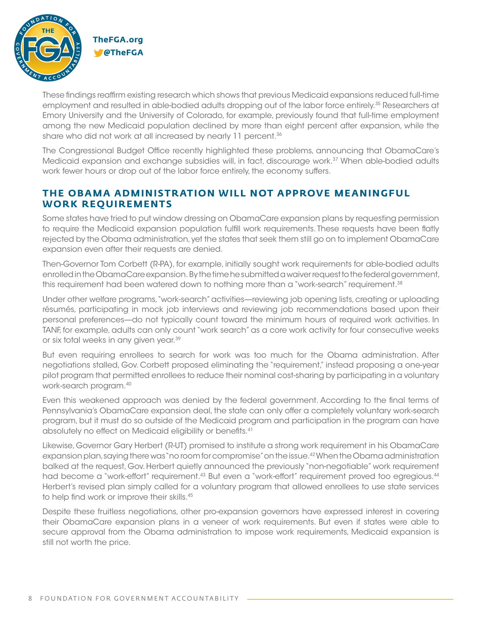

These findings reaffirm existing research which shows that previous Medicaid expansions reduced full-time employment and resulted in able-bodied adults dropping out of the labor force entirely.35 Researchers at Emory University and the University of Colorado, for example, previously found that full-time employment among the new Medicaid population declined by more than eight percent after expansion, while the share who did not work at all increased by nearly 11 percent.<sup>36</sup>

The Congressional Budget Office recently highlighted these problems, announcing that ObamaCare's Medicaid expansion and exchange subsidies will, in fact, discourage work.<sup>37</sup> When able-bodied adults work fewer hours or drop out of the labor force entirely, the economy suffers.

#### **THE OBAMA ADMINISTRATION WILL NOT APPROVE MEANINGFUL WORK REQUIREMENTS**

Some states have tried to put window dressing on ObamaCare expansion plans by requesting permission to require the Medicaid expansion population fulfill work requirements. These requests have been flatly rejected by the Obama administration, yet the states that seek them still go on to implement ObamaCare expansion even after their requests are denied.

Then-Governor Tom Corbett (R-PA), for example, initially sought work requirements for able-bodied adults enrolled in the ObamaCare expansion. By the time he submitted a waiver request to the federal government, this requirement had been watered down to nothing more than a "work-search" requirement.38

Under other welfare programs, "work-search" activities—reviewing job opening lists, creating or uploading résumés, participating in mock job interviews and reviewing job recommendations based upon their personal preferences—do not typically count toward the minimum hours of required work activities. In TANF, for example, adults can only count "work search" as a core work activity for four consecutive weeks or six total weeks in any given year.39

But even requiring enrollees to search for work was too much for the Obama administration. After negotiations stalled, Gov. Corbett proposed eliminating the "requirement," instead proposing a one-year pilot program that permitted enrollees to reduce their nominal cost-sharing by participating in a voluntary work-search program.40

Even this weakened approach was denied by the federal government. According to the final terms of Pennsylvania's ObamaCare expansion deal, the state can only offer a completely voluntary work-search program, but it must do so outside of the Medicaid program and participation in the program can have absolutely no effect on Medicaid eligibility or benefits.41

Likewise, Governor Gary Herbert (R-UT) promised to institute a strong work requirement in his ObamaCare expansion plan, saying there was "no room for compromise" on the issue.42 When the Obama administration balked at the request, Gov. Herbert quietly announced the previously "non-negotiable" work requirement had become a "work-effort" requirement.<sup>43</sup> But even a "work-effort" requirement proved too egregious.<sup>44</sup> Herbert's revised plan simply called for a voluntary program that allowed enrollees to use state services to help find work or improve their skills.<sup>45</sup>

Despite these fruitless negotiations, other pro-expansion governors have expressed interest in covering their ObamaCare expansion plans in a veneer of work requirements. But even if states were able to secure approval from the Obama administration to impose work requirements, Medicaid expansion is still not worth the price.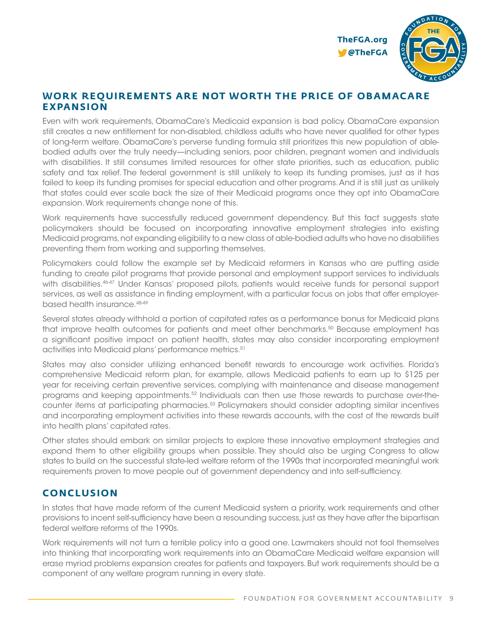

#### **WORK REQUIREMENTS ARE NOT WORTH THE PRICE OF OBAMACARE EXPANSION**

Even with work requirements, ObamaCare's Medicaid expansion is bad policy. ObamaCare expansion still creates a new entitlement for non-disabled, childless adults who have never qualified for other types of long-term welfare. ObamaCare's perverse funding formula still prioritizes this new population of ablebodied adults over the truly needy—including seniors, poor children, pregnant women and individuals with disabilities. It still consumes limited resources for other state priorities, such as education, public safety and tax relief. The federal government is still unlikely to keep its funding promises, just as it has failed to keep its funding promises for special education and other programs. And it is still just as unlikely that states could ever scale back the size of their Medicaid programs once they opt into ObamaCare expansion. Work requirements change none of this.

Work requirements have successfully reduced government dependency. But this fact suggests state policymakers should be focused on incorporating innovative employment strategies into existing Medicaid programs, not expanding eligibility to a new class of able-bodied adults who have no disabilities preventing them from working and supporting themselves.

Policymakers could follow the example set by Medicaid reformers in Kansas who are putting aside funding to create pilot programs that provide personal and employment support services to individuals with disabilities.46-47 Under Kansas' proposed pilots, patients would receive funds for personal support services, as well as assistance in finding employment, with a particular focus on jobs that offer employerbased health insurance.48-49

Several states already withhold a portion of capitated rates as a performance bonus for Medicaid plans that improve health outcomes for patients and meet other benchmarks.<sup>50</sup> Because employment has a significant positive impact on patient health, states may also consider incorporating employment activities into Medicaid plans' performance metrics.<sup>51</sup>

States may also consider utilizing enhanced benefit rewards to encourage work activities. Florida's comprehensive Medicaid reform plan, for example, allows Medicaid patients to earn up to \$125 per year for receiving certain preventive services, complying with maintenance and disease management programs and keeping appointments.52 Individuals can then use those rewards to purchase over-thecounter items at participating pharmacies.53 Policymakers should consider adopting similar incentives and incorporating employment activities into these rewards accounts, with the cost of the rewards built into health plans' capitated rates.

Other states should embark on similar projects to explore these innovative employment strategies and expand them to other eligibility groups when possible. They should also be urging Congress to allow states to build on the successful state-led welfare reform of the 1990s that incorporated meaningful work requirements proven to move people out of government dependency and into self-sufficiency.

#### **CONCLUSION**

In states that have made reform of the current Medicaid system a priority, work requirements and other provisions to incent self-sufficiency have been a resounding success, just as they have after the bipartisan federal welfare reforms of the 1990s.

Work requirements will not turn a terrible policy into a good one. Lawmakers should not fool themselves into thinking that incorporating work requirements into an ObamaCare Medicaid welfare expansion will erase myriad problems expansion creates for patients and taxpayers. But work requirements should be a component of any welfare program running in every state.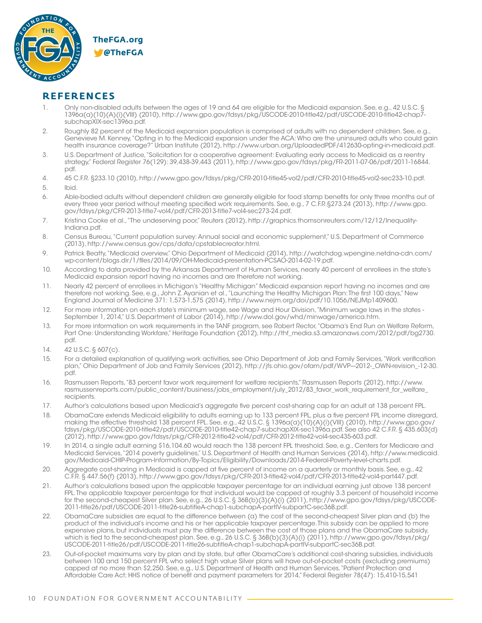

#### **REFERENCES**

- 1. Only non-disabled adults between the ages of 19 and 64 are eligible for the Medicaid expansion. See, e.g., 42 U.S.C. § 1396a(a)(10)(A)(i)(VIII) (2010), http://www.gpo.gov/fdsys/pkg/USCODE-2010-title42/pdf/USCODE-2010-title42-chap7 subchapXIX-sec1396a.pdf.
- 2. Roughly 82 percent of the Medicaid expansion population is comprised of adults with no dependent children. See, e.g., Genevieve M. Kenney, "Opting in to the Medicaid expansion under the ACA: Who are the uninsured adults who could gain health insurance coverage?" Urban Institute (2012), http://www.urban.org/UploadedPDF/412630-opting-in-medicaid.pdf.
- 3. U.S. Department of Justice, "Solicitation for a cooperative agreement: Evaluating early access to Medicaid as a reentry strategy," Federal Register 76(129): 39,438-39,443 (2011), http://www.gpo.gov/fdsys/pkg/FR-2011-07-06/pdf/2011-16844. pdf.
- 4. 45 C.F.R. §233.10 (2010), http://www.gpo.gov/fdsys/pkg/CFR-2010-title45-vol2/pdf/CFR-2010-title45-vol2-sec233-10.pdf.
- 5. Ibid.
- 6. Able-bodied adults without dependent children are generally eligible for food stamp benefits for only three months out of every three year period without meeting specified work requirements. See, e.g., 7 C.F.R.§273.24 (2013), http://www.gpo. gov/fdsys/pkg/CFR-2013-title7-vol4/pdf/CFR-2013-title7-vol4-sec273-24.pdf.
- 7. Kristina Cooke et al., "The undeserving poor," Reuters (2012), http://graphics.thomsonreuters.com/12/12/Inequality-Indiana.pdf.
- 8. Census Bureau, "Current population survey: Annual social and economic supplement," U.S. Department of Commerce (2013), http://www.census.gov/cps/data/cpstablecreator.html.
- 9. Patrick Beatty, "Medicaid overview," Ohio Department of Medicaid (2014), http://watchdog.wpengine.netdna-cdn.com/ wp-content/blogs.dir/1/files/2014/09/OH-Medicaid-presentation-PCSAO-2014-02-19.pdf.
- 10. According to data provided by the Arkansas Department of Human Services, nearly 40 percent of enrollees in the state's Medicaid expansion report having no incomes and are therefore not working.
- 11. Nearly 42 percent of enrollees in Michigan's "Healthy Michigan" Medicaid expansion report having no incomes and are therefore not working. See, e.g., John Z. Ayanian et al., "Launching the Healthy Michigan Plan: The first 100 days," New England Journal of Medicine 371: 1,573-1,575 (2014), http://www.nejm.org/doi/pdf/10.1056/NEJMp1409600.
- 12. For more information on each state's minimum wage, see Wage and Hour Division, "Minimum wage laws in the states September 1, 2014," U.S. Department of Labor (2014), http://www.dol.gov/whd/minwage/america.htm.
- 13. For more information on work requirements in the TANF program, see Robert Rector, "Obama's End Run on Welfare Reform, Part One: Understanding Workfare," Heritage Foundation (2012), http://thf\_media.s3.amazonaws.com/2012/pdf/bg2730. pdf.
- 14. 42 U.S.C. § 607(c).
- 15. For a detailed explanation of qualifying work activities, see Ohio Department of Job and Family Services, "Work verification plan," Ohio Department of Job and Family Services (2012), http://ifs.ohio.gov/ofam/pdf/WVP-2012- OWN-revision -12-30. pdf.
- 16. Rasmussen Reports, "83 percent favor work requirement for welfare recipients," Rasmussen Reports (2012), http://www. rasmussenreports.com/public\_content/business/jobs\_employment/july\_2012/83\_favor\_work\_requirement\_for\_welfare\_ recipients.
- 17. Author's calculations based upon Medicaid's aggregate five percent cost-sharing cap for an adult at 138 percent FPL.
- 18. ObamaCare extends Medicaid eligibility to adults earning up to 133 percent FPL, plus a five percent FPL income disregard, making the effective threshold 138 percent FPL. See, e.g., 42 U.S.C. § 1396a(a)(10)(A)(i)(VIII) (2010), http://www.gpo.gov/ fdsys/pkg/USCODE-2010-title42/pdf/USCODE-2010-title42-chap7-subchapXIX-sec1396a.pdf. See also 42 C.F.R. § 435.603(d) (2012), http://www.gpo.gov/fdsys/pkg/CFR-2012-title42-vol4/pdf/CFR-2012-title42-vol4-sec435-603.pdf.
- 19. In 2014, a single adult earning \$16,104.60 would reach the 138 percent FPL threshold. See, e.g., Centers for Medicare and Medicaid Services, "2014 poverty guidelines," U.S. Department of Health and Human Services (2014), http://www.medicaid. gov/Medicaid-CHIP-Program-Information/By-Topics/Eligibility/Downloads/2014-Federal-Poverty-level-charts.pdf.
- 20. Aggregate cost-sharing in Medicaid is capped at five percent of income on a quarterly or monthly basis. See, e.g., 42 C.F.R. § 447.56(f) (2013), http://www.gpo.gov/fdsys/pkg/CFR-2013-title42-vol4/pdf/CFR-2013-title42-vol4-part447.pdf.
- 21. Author's calculations based upon the applicable taxpayer percentage for an individual earning just above 138 percent FPL. The applicable taxpayer percentage for that individual would be capped at roughly 3.3 percent of household income for the second-cheapest Silver plan. See, e.g., 26 U.S.C. § 36B(b)(3)(A)(i) (2011), http://www.gpo.gov/fdsys/pkg/USCODE-2011-title26/pdf/USCODE-2011-title26-subtitleA-chap1-subchapA-partIV-subpartC-sec36B.pdf.
- 22. ObamaCare subsidies are equal to the difference between (a) the cost of the second-cheapest Silver plan and (b) the product of the individual's income and his or her applicable taxpayer percentage. This subsidy can be applied to more expensive plans, but individuals must pay the difference between the cost of those plans and the ObamaCare subsidy, which is tied to the second-cheapest plan. See, e.g., 26 U.S.C. § 36B(b)(3)(A)(i) (2011), http://www.gpo.gov/fdsys/pkg/ USCODE-2011-title26/pdf/USCODE-2011-title26-subtitleA-chap1-subchapA-partIV-subpartC-sec36B.pdf.
- 23. Out-of-pocket maximums vary by plan and by state, but after ObamaCare's additional cost-sharing subsidies, individuals between 100 and 150 percent FPL who select high value Silver plans will have out-of-pocket costs (excluding premiums) capped at no more than \$2,250. See, e.g., U.S. Department of Health and Human Services, "Patient Protection and Affordable Care Act; HHS notice of benefit and payment parameters for 2014," Federal Register 78(47): 15,410-15,541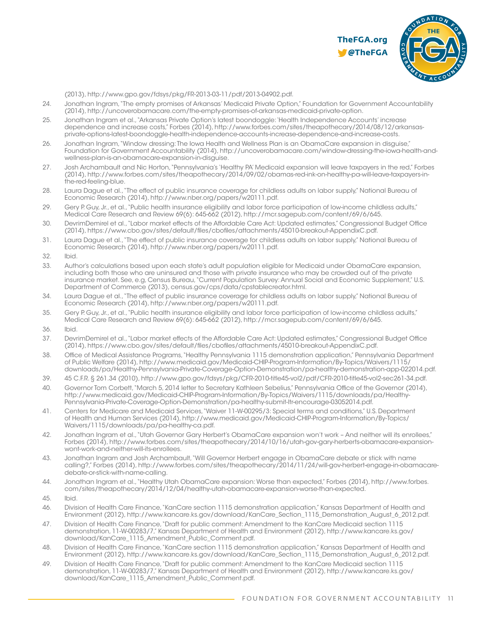

(2013), http://www.gpo.gov/fdsys/pkg/FR-2013-03-11/pdf/2013-04902.pdf.

- 24. Jonathan Ingram, "The empty promises of Arkansas' Medicaid Private Option," Foundation for Government Accountability (2014), http://uncoverobamacare.com/the-empty-promises-of-arkansas-medicaid-private-option.
- 25. Jonathan Ingram et al., "Arkansas Private Option's latest boondoggle: 'Health Independence Accounts' increase dependence and increase costs," Forbes (2014), http://www.forbes.com/sites/theapothecary/2014/08/12/arkansasprivate-options-latest-boondoggle-health-independence-accounts-increase-dependence-and-increase-costs.
- 26. Jonathan Ingram, "Window dressing: The Iowa Health and Wellness Plan is an ObamaCare expansion in disguise," Foundation for Government Accountability (2014), http://uncoverobamacare.com/window-dressing-the-iowa-health-andwellness-plan-is-an-obamacare-expansion-in-disguise.
- 27. Josh Archambault and Nic Horton, "Pennsylvania's 'Healthy PA' Medicaid expansion will leave taxpayers in the red," Forbes (2014), http://www.forbes.com/sites/theapothecary/2014/09/02/obamas-red-ink-on-healthy-pa-will-leave-taxpayers-inthe-red-feeling-blue.
- 28. Laura Dague et al., "The effect of public insurance coverage for childless adults on labor supply," National Bureau of Economic Research (2014), http://www.nber.org/papers/w20111.pdf.
- 29. Gery P. Guy, Jr., et al., "Public health insurance eligibility and labor force participation of low-income childless adults," Medical Care Research and Review 69(6): 645-662 (2012), http://mcr.sagepub.com/content/69/6/645.
- 30. DevrimDemirel et al., "Labor market effects of the Affordable Care Act: Updated estimates," Congressional Budget Office (2014), https://www.cbo.gov/sites/default/files/cbofiles/attachments/45010-breakout-AppendixC.pdf.
- 31. Laura Dague et al., "The effect of public insurance coverage for childless adults on labor supply," National Bureau of Economic Research (2014), http://www.nber.org/papers/w20111.pdf.
- 32. Ibid.
- 33. Author's calculations based upon each state's adult population eligible for Medicaid under ObamaCare expansion, including both those who are uninsured and those with private insurance who may be crowded out of the private insurance market. See, e.g, Census Bureau, "Current Population Survey: Annual Social and Economic Supplement," U.S. Department of Commerce (2013), census.gov/cps/data/cpstablecreator.html.
- 34. Laura Dague et al., "The effect of public insurance coverage for childless adults on labor supply," National Bureau of Economic Research (2014), http://www.nber.org/papers/w20111.pdf.
- 35. Gery P. Guy, Jr., et al., "Public health insurance eligibility and labor force participation of low-income childless adults," Medical Care Research and Review 69(6): 645-662 (2012), http://mcr.sagepub.com/content/69/6/645.
- 36. Ibid.
- 37. DevrimDemirel et al., "Labor market effects of the Affordable Care Act: Updated estimates," Congressional Budget Office (2014), https://www.cbo.gov/sites/default/files/cbofiles/attachments/45010-breakout-AppendixC.pdf.
- 38. Office of Medical Assistance Programs, "Healthy Pennsylvania 1115 demonstration application," Pennsylvania Department of Public Welfare (2014), http://www.medicaid.gov/Medicaid-CHIP-Program-Information/By-Topics/Waivers/1115/ downloads/pa/Healthy-Pennsylvania-Private-Coverage-Option-Demonstration/pa-healthy-demonstration-app-022014.pdf.
- 39. 45 C.F.R. § 261.34 (2010), http://www.gpo.gov/fdsys/pkg/CFR-2010-title45-vol2/pdf/CFR-2010-title45-vol2-sec261-34.pdf.
- 40. Governor Tom Corbett, "March 5, 2014 letter to Secretary Kathleen Sebelius," Pennsylvania Office of the Governor (2014), http://www.medicaid.gov/Medicaid-CHIP-Program-Information/By-Topics/Waivers/1115/downloads/pa/Healthy-Pennsylvania-Private-Coverage-Option-Demonstration/pa-healthy-submit-ltr-encourage-03052014.pdf.
- 41. Centers for Medicare and Medicaid Services, "Waiver 11-W-00295/3: Special terms and conditions," U.S. Department of Health and Human Services (2014), http://www.medicaid.gov/Medicaid-CHIP-Program-Information/By-Topics/ Waivers/1115/downloads/pa/pa-healthy-ca.pdf.
- 42. Jonathan Ingram et al., "Utah Governor Gary Herbert's ObamaCare expansion won't work And neither will its enrollees." Forbes (2014), http://www.forbes.com/sites/theapothecary/2014/10/16/utah-gov-gary-herberts-obamacare-expansionwont-work-and-neither-will-its-enrollees.
- 43. Jonathan Ingram and Josh Archambault, "Will Governor Herbert engage in ObamaCare debate or stick with name calling?," Forbes (2014), http://www.forbes.com/sites/theapothecary/2014/11/24/will-gov-herbert-engage-in-obamacaredebate-or-stick-with-name-calling.
- 44. Jonathan Ingram et al., "Healthy Utah ObamaCare expansion: Worse than expected," Forbes (2014), http://www.forbes. com/sites/theapothecary/2014/12/04/healthy-utah-obamacare-expansion-worse-than-expected.
- 45. Ibid.
- 46. Division of Health Care Finance, "KanCare section 1115 demonstration application," Kansas Department of Health and Environment (2012), http://www.kancare.ks.gov/download/KanCare\_Section\_1115\_Demonstration\_August\_6\_2012.pdf.
- 47. Division of Health Care Finance, "Draft for public comment: Amendment to the KanCare Medicaid section 1115 demonstration, 11-W-00283/7," Kansas Department of Health and Environment (2012), http://www.kancare.ks.gov/ download/KanCare\_1115\_Amendment\_Public\_Comment.pdf.
- 48. Division of Health Care Finance, "KanCare section 1115 demonstration application," Kansas Department of Health and Environment (2012), http://www.kancare.ks.gov/download/KanCare\_Section\_1115\_Demonstration\_August\_6\_2012.pdf.
- 49. Division of Health Care Finance, "Draft for public comment: Amendment to the KanCare Medicaid section 1115 demonstration, 11-W-00283/7," Kansas Department of Health and Environment (2012), http://www.kancare.ks.gov/ download/KanCare\_1115\_Amendment\_Public\_Comment.pdf.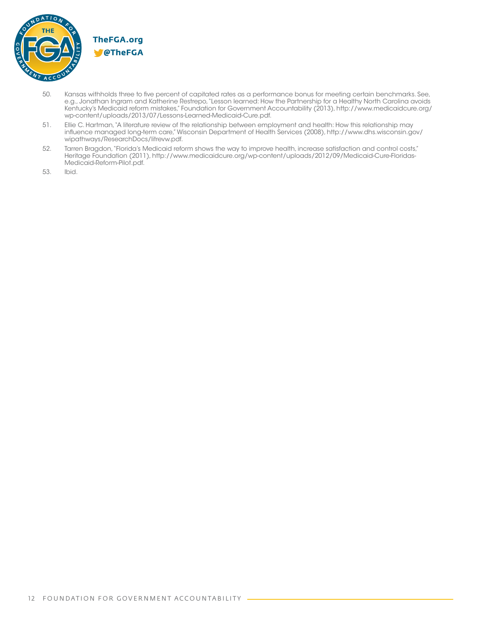

- 50. Kansas withholds three to five percent of capitated rates as a performance bonus for meeting certain benchmarks. See, e.g., Jonathan Ingram and Katherine Restrepo, "Lesson learned: How the Partnership for a Healthy North Carolina avoids Kentucky's Medicaid reform mistakes," Foundation for Government Accountability (2013), http://www.medicaidcure.org/ wp-content/uploads/2013/07/Lessons-Learned-Medicaid-Cure.pdf.
- 51. Ellie C. Hartman, "A literature review of the relationship between employment and health: How this relationship may influence managed long-term care," Wisconsin Department of Health Services (2008), http://www.dhs.wisconsin.gov/ wipathways/ResearchDocs/litrevw.pdf.
- 52. Tarren Bragdon, "Florida's Medicaid reform shows the way to improve health, increase satisfaction and control costs," Heritage Foundation (2011), http://www.medicaidcure.org/wp-content/uploads/2012/09/Medicaid-Cure-Floridas-Medicaid-Reform-Pilot.pdf.
- 53. Ibid.